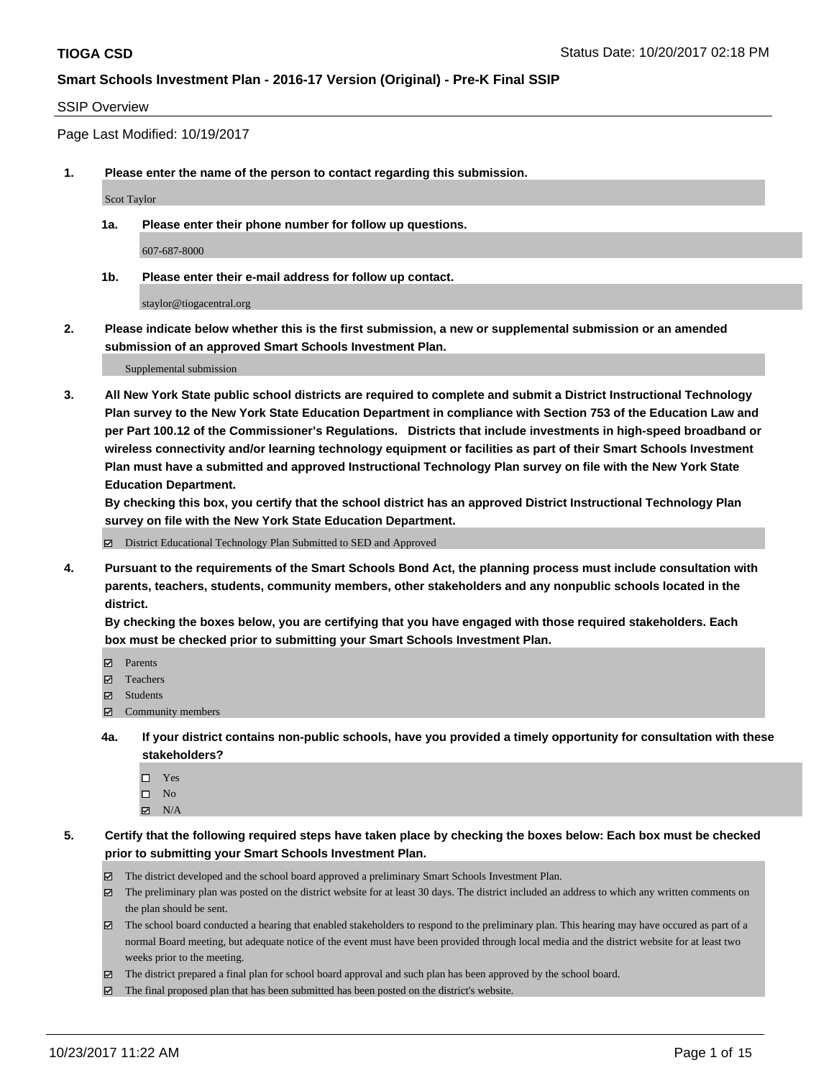### SSIP Overview

Page Last Modified: 10/19/2017

**1. Please enter the name of the person to contact regarding this submission.**

Scot Taylor

**1a. Please enter their phone number for follow up questions.**

607-687-8000

**1b. Please enter their e-mail address for follow up contact.**

staylor@tiogacentral.org

**2. Please indicate below whether this is the first submission, a new or supplemental submission or an amended submission of an approved Smart Schools Investment Plan.**

Supplemental submission

**3. All New York State public school districts are required to complete and submit a District Instructional Technology Plan survey to the New York State Education Department in compliance with Section 753 of the Education Law and per Part 100.12 of the Commissioner's Regulations. Districts that include investments in high-speed broadband or wireless connectivity and/or learning technology equipment or facilities as part of their Smart Schools Investment Plan must have a submitted and approved Instructional Technology Plan survey on file with the New York State Education Department.** 

**By checking this box, you certify that the school district has an approved District Instructional Technology Plan survey on file with the New York State Education Department.**

District Educational Technology Plan Submitted to SED and Approved

**4. Pursuant to the requirements of the Smart Schools Bond Act, the planning process must include consultation with parents, teachers, students, community members, other stakeholders and any nonpublic schools located in the district.** 

**By checking the boxes below, you are certifying that you have engaged with those required stakeholders. Each box must be checked prior to submitting your Smart Schools Investment Plan.**

- **マ** Parents
- Teachers
- **☑** Students
- $\Xi$  Community members
- **4a. If your district contains non-public schools, have you provided a timely opportunity for consultation with these stakeholders?**
	- □ Yes
	- $\square$  No
	- $\boxtimes$  N/A

**5. Certify that the following required steps have taken place by checking the boxes below: Each box must be checked prior to submitting your Smart Schools Investment Plan.**

- The district developed and the school board approved a preliminary Smart Schools Investment Plan.
- The preliminary plan was posted on the district website for at least 30 days. The district included an address to which any written comments on the plan should be sent.
- The school board conducted a hearing that enabled stakeholders to respond to the preliminary plan. This hearing may have occured as part of a normal Board meeting, but adequate notice of the event must have been provided through local media and the district website for at least two weeks prior to the meeting.
- The district prepared a final plan for school board approval and such plan has been approved by the school board.
- $\boxtimes$  The final proposed plan that has been submitted has been posted on the district's website.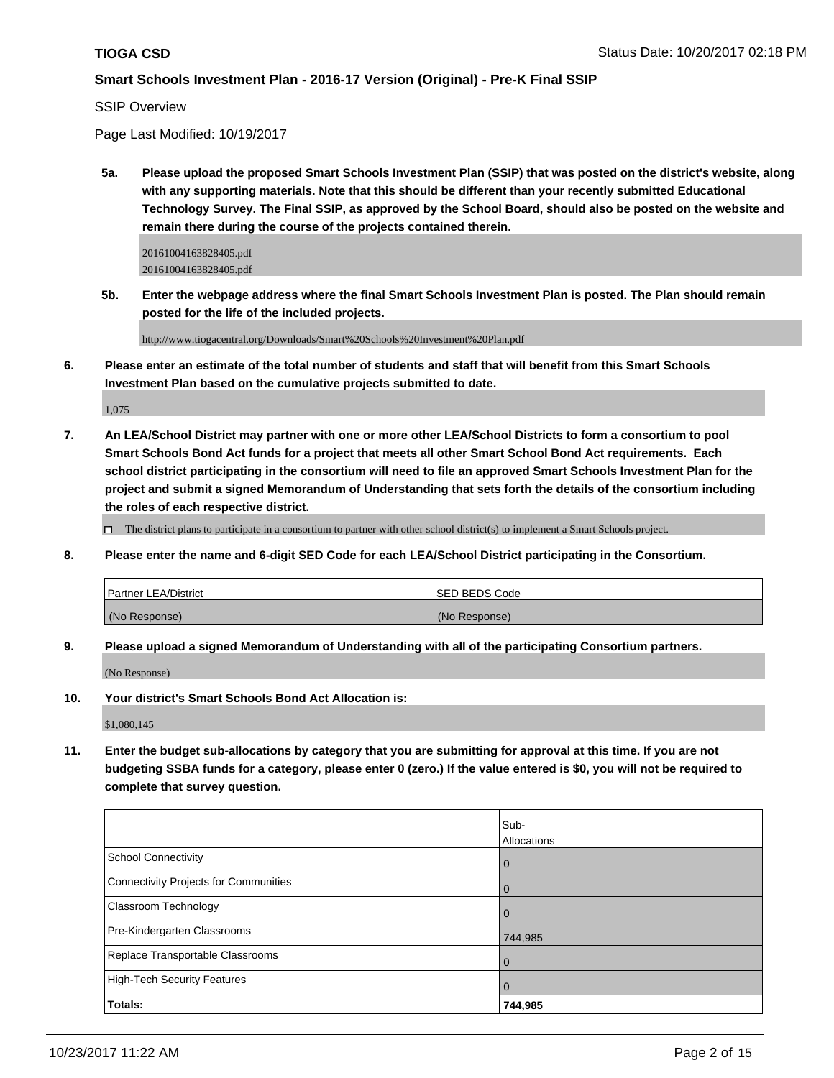SSIP Overview

Page Last Modified: 10/19/2017

**5a. Please upload the proposed Smart Schools Investment Plan (SSIP) that was posted on the district's website, along with any supporting materials. Note that this should be different than your recently submitted Educational Technology Survey. The Final SSIP, as approved by the School Board, should also be posted on the website and remain there during the course of the projects contained therein.**

20161004163828405.pdf 20161004163828405.pdf

**5b. Enter the webpage address where the final Smart Schools Investment Plan is posted. The Plan should remain posted for the life of the included projects.**

http://www.tiogacentral.org/Downloads/Smart%20Schools%20Investment%20Plan.pdf

**6. Please enter an estimate of the total number of students and staff that will benefit from this Smart Schools Investment Plan based on the cumulative projects submitted to date.**

1,075

**7. An LEA/School District may partner with one or more other LEA/School Districts to form a consortium to pool Smart Schools Bond Act funds for a project that meets all other Smart School Bond Act requirements. Each school district participating in the consortium will need to file an approved Smart Schools Investment Plan for the project and submit a signed Memorandum of Understanding that sets forth the details of the consortium including the roles of each respective district.**

 $\Box$  The district plans to participate in a consortium to partner with other school district(s) to implement a Smart Schools project.

**8. Please enter the name and 6-digit SED Code for each LEA/School District participating in the Consortium.**

| <b>Partner LEA/District</b> | ISED BEDS Code |
|-----------------------------|----------------|
| (No Response)               | (No Response)  |

**9. Please upload a signed Memorandum of Understanding with all of the participating Consortium partners.**

(No Response)

**10. Your district's Smart Schools Bond Act Allocation is:**

\$1,080,145

**11. Enter the budget sub-allocations by category that you are submitting for approval at this time. If you are not budgeting SSBA funds for a category, please enter 0 (zero.) If the value entered is \$0, you will not be required to complete that survey question.**

|                                       | Sub-           |
|---------------------------------------|----------------|
|                                       | Allocations    |
| <b>School Connectivity</b>            | l 0            |
| Connectivity Projects for Communities | l 0            |
| <b>Classroom Technology</b>           | $\overline{0}$ |
| Pre-Kindergarten Classrooms           | 744,985        |
| Replace Transportable Classrooms      |                |
| High-Tech Security Features           | l 0            |
| Totals:                               | 744,985        |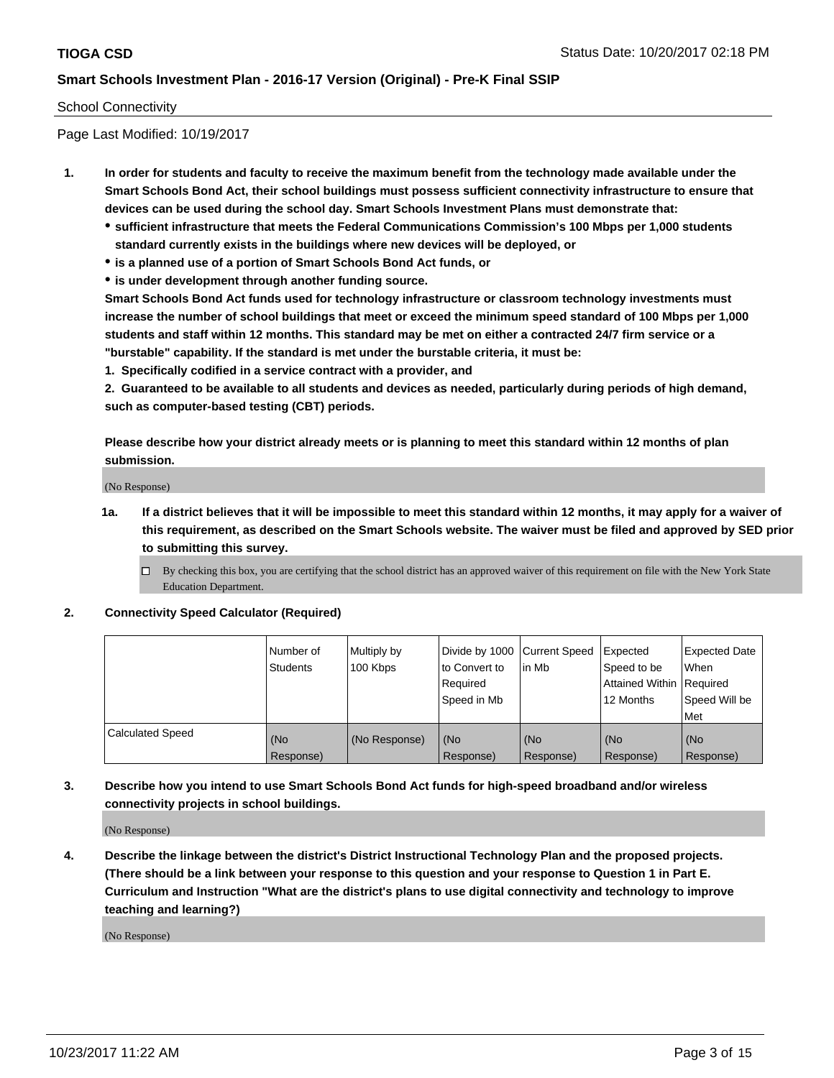#### School Connectivity

Page Last Modified: 10/19/2017

- **1. In order for students and faculty to receive the maximum benefit from the technology made available under the Smart Schools Bond Act, their school buildings must possess sufficient connectivity infrastructure to ensure that devices can be used during the school day. Smart Schools Investment Plans must demonstrate that:**
	- **sufficient infrastructure that meets the Federal Communications Commission's 100 Mbps per 1,000 students standard currently exists in the buildings where new devices will be deployed, or**
	- **is a planned use of a portion of Smart Schools Bond Act funds, or**
	- **is under development through another funding source.**

**Smart Schools Bond Act funds used for technology infrastructure or classroom technology investments must increase the number of school buildings that meet or exceed the minimum speed standard of 100 Mbps per 1,000 students and staff within 12 months. This standard may be met on either a contracted 24/7 firm service or a "burstable" capability. If the standard is met under the burstable criteria, it must be:**

**1. Specifically codified in a service contract with a provider, and**

**2. Guaranteed to be available to all students and devices as needed, particularly during periods of high demand, such as computer-based testing (CBT) periods.**

**Please describe how your district already meets or is planning to meet this standard within 12 months of plan submission.**

(No Response)

**1a. If a district believes that it will be impossible to meet this standard within 12 months, it may apply for a waiver of this requirement, as described on the Smart Schools website. The waiver must be filed and approved by SED prior to submitting this survey.**

**2. Connectivity Speed Calculator (Required)**

|                         | l Number of<br>Students | Multiply by<br>100 Kbps | Divide by 1000 Current Speed<br>to Convert to<br>Required<br>Speed in Mb | lin Mb           | Expected<br>Speed to be<br>Attained Within Required<br>12 Months | <b>Expected Date</b><br>When<br>Speed Will be<br>Met |
|-------------------------|-------------------------|-------------------------|--------------------------------------------------------------------------|------------------|------------------------------------------------------------------|------------------------------------------------------|
| <b>Calculated Speed</b> | (No<br>Response)        | (No Response)           | (No<br>Response)                                                         | (No<br>Response) | (No<br>Response)                                                 | (No<br>Response)                                     |

**3. Describe how you intend to use Smart Schools Bond Act funds for high-speed broadband and/or wireless connectivity projects in school buildings.**

(No Response)

**4. Describe the linkage between the district's District Instructional Technology Plan and the proposed projects. (There should be a link between your response to this question and your response to Question 1 in Part E. Curriculum and Instruction "What are the district's plans to use digital connectivity and technology to improve teaching and learning?)**

(No Response)

 $\Box$  By checking this box, you are certifying that the school district has an approved waiver of this requirement on file with the New York State Education Department.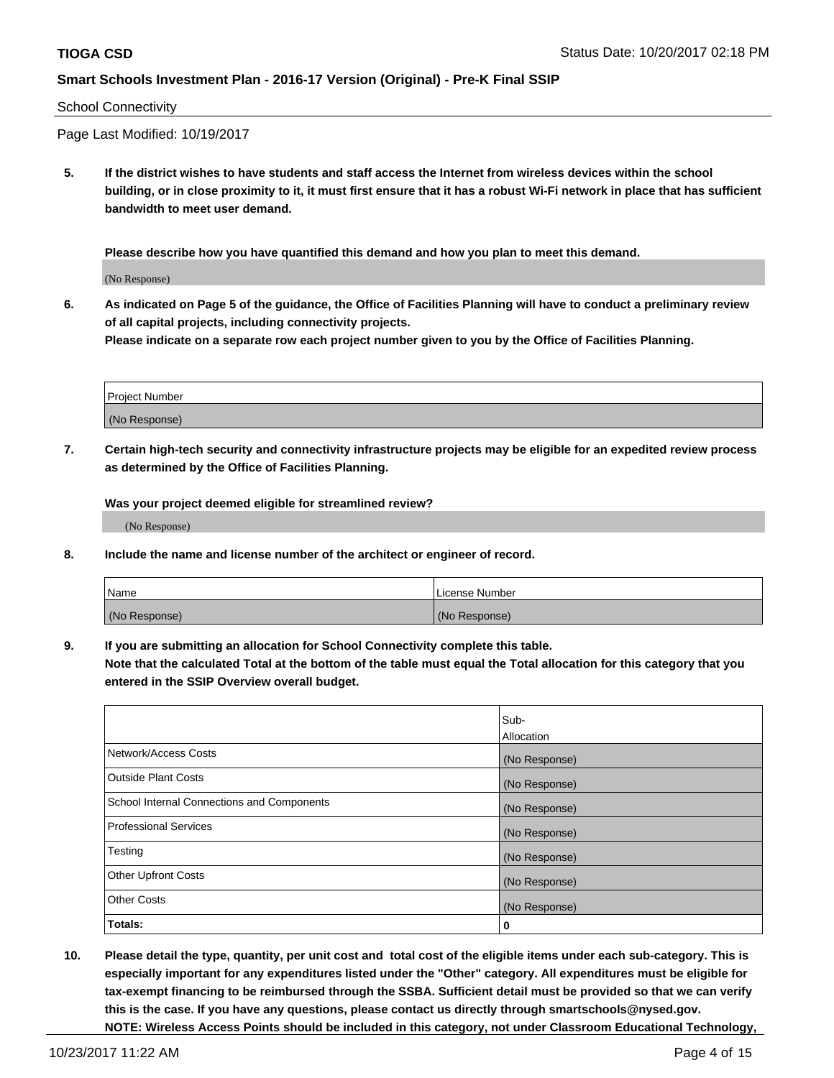#### School Connectivity

Page Last Modified: 10/19/2017

**5. If the district wishes to have students and staff access the Internet from wireless devices within the school building, or in close proximity to it, it must first ensure that it has a robust Wi-Fi network in place that has sufficient bandwidth to meet user demand.**

**Please describe how you have quantified this demand and how you plan to meet this demand.**

(No Response)

**6. As indicated on Page 5 of the guidance, the Office of Facilities Planning will have to conduct a preliminary review of all capital projects, including connectivity projects.**

**Please indicate on a separate row each project number given to you by the Office of Facilities Planning.**

| Project Number |  |
|----------------|--|
|                |  |
| (No Response)  |  |

**7. Certain high-tech security and connectivity infrastructure projects may be eligible for an expedited review process as determined by the Office of Facilities Planning.**

**Was your project deemed eligible for streamlined review?**

(No Response)

**8. Include the name and license number of the architect or engineer of record.**

| Name          | License Number |
|---------------|----------------|
| (No Response) | (No Response)  |

**9. If you are submitting an allocation for School Connectivity complete this table.**

**Note that the calculated Total at the bottom of the table must equal the Total allocation for this category that you entered in the SSIP Overview overall budget.** 

|                                            | Sub-          |
|--------------------------------------------|---------------|
|                                            | Allocation    |
| Network/Access Costs                       | (No Response) |
| <b>Outside Plant Costs</b>                 | (No Response) |
| School Internal Connections and Components | (No Response) |
| <b>Professional Services</b>               | (No Response) |
| Testing                                    | (No Response) |
| <b>Other Upfront Costs</b>                 | (No Response) |
| <b>Other Costs</b>                         | (No Response) |
| Totals:                                    | 0             |

**10. Please detail the type, quantity, per unit cost and total cost of the eligible items under each sub-category. This is especially important for any expenditures listed under the "Other" category. All expenditures must be eligible for tax-exempt financing to be reimbursed through the SSBA. Sufficient detail must be provided so that we can verify this is the case. If you have any questions, please contact us directly through smartschools@nysed.gov. NOTE: Wireless Access Points should be included in this category, not under Classroom Educational Technology,**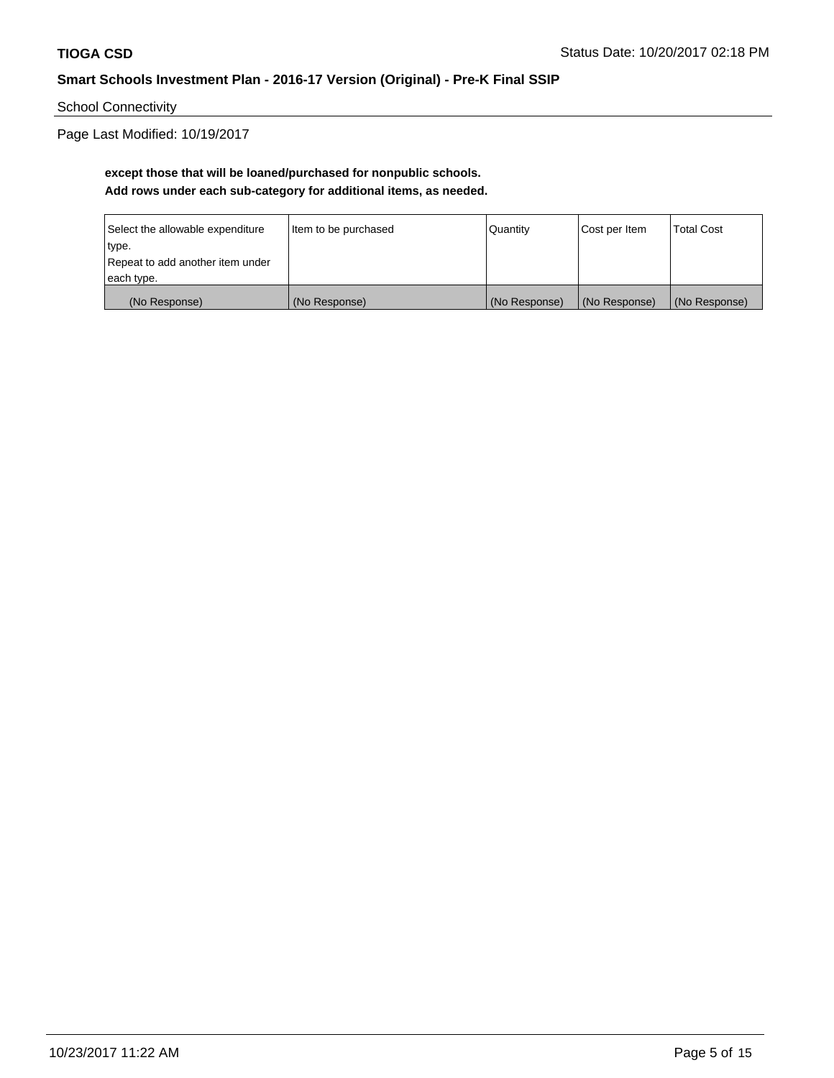School Connectivity

Page Last Modified: 10/19/2017

# **except those that will be loaned/purchased for nonpublic schools. Add rows under each sub-category for additional items, as needed.**

| Select the allowable expenditure | Item to be purchased | Quantity      | Cost per Item | <b>Total Cost</b> |
|----------------------------------|----------------------|---------------|---------------|-------------------|
| type.                            |                      |               |               |                   |
| Repeat to add another item under |                      |               |               |                   |
| each type.                       |                      |               |               |                   |
| (No Response)                    | (No Response)        | (No Response) | (No Response) | (No Response)     |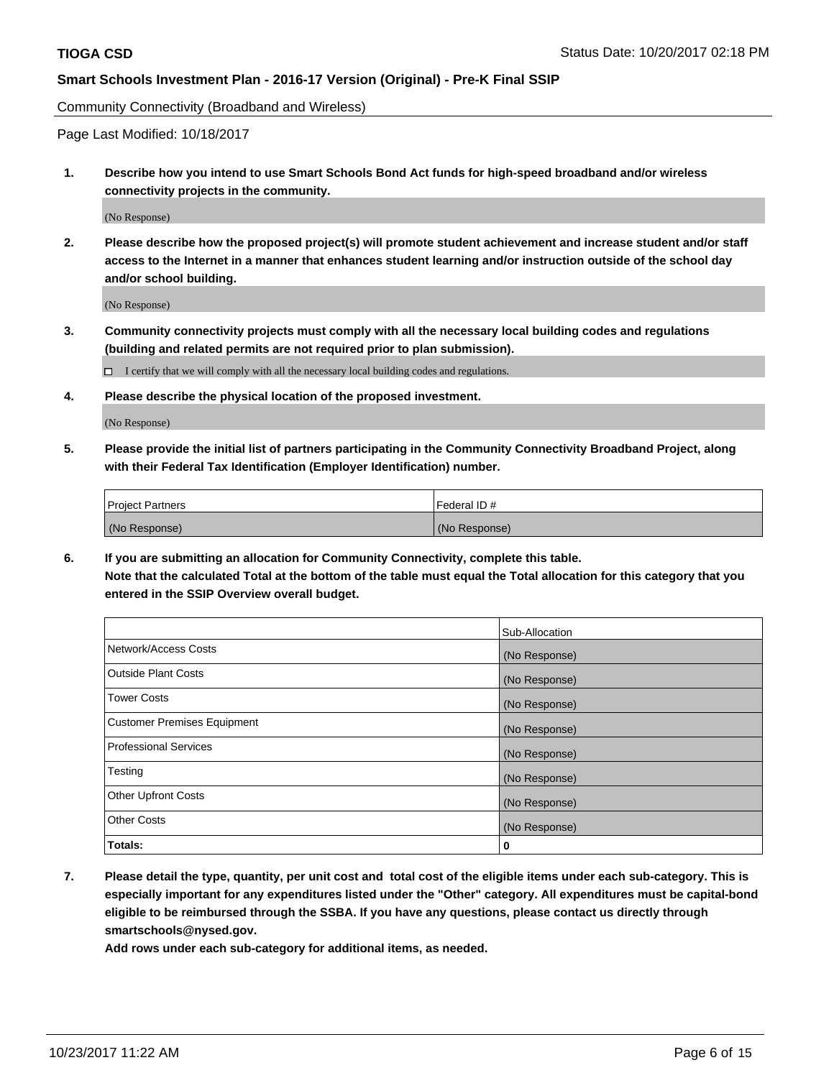Community Connectivity (Broadband and Wireless)

Page Last Modified: 10/18/2017

**1. Describe how you intend to use Smart Schools Bond Act funds for high-speed broadband and/or wireless connectivity projects in the community.**

(No Response)

**2. Please describe how the proposed project(s) will promote student achievement and increase student and/or staff access to the Internet in a manner that enhances student learning and/or instruction outside of the school day and/or school building.**

(No Response)

**3. Community connectivity projects must comply with all the necessary local building codes and regulations (building and related permits are not required prior to plan submission).**

 $\Box$  I certify that we will comply with all the necessary local building codes and regulations.

**4. Please describe the physical location of the proposed investment.**

(No Response)

**5. Please provide the initial list of partners participating in the Community Connectivity Broadband Project, along with their Federal Tax Identification (Employer Identification) number.**

| <b>Project Partners</b> | l Federal ID # |
|-------------------------|----------------|
| (No Response)           | (No Response)  |

**6. If you are submitting an allocation for Community Connectivity, complete this table. Note that the calculated Total at the bottom of the table must equal the Total allocation for this category that you entered in the SSIP Overview overall budget.**

|                                    | Sub-Allocation |
|------------------------------------|----------------|
| Network/Access Costs               | (No Response)  |
| <b>Outside Plant Costs</b>         | (No Response)  |
| <b>Tower Costs</b>                 | (No Response)  |
| <b>Customer Premises Equipment</b> | (No Response)  |
| <b>Professional Services</b>       | (No Response)  |
| Testing                            | (No Response)  |
| <b>Other Upfront Costs</b>         | (No Response)  |
| <b>Other Costs</b>                 | (No Response)  |
| Totals:                            | 0              |

**7. Please detail the type, quantity, per unit cost and total cost of the eligible items under each sub-category. This is especially important for any expenditures listed under the "Other" category. All expenditures must be capital-bond eligible to be reimbursed through the SSBA. If you have any questions, please contact us directly through smartschools@nysed.gov.**

**Add rows under each sub-category for additional items, as needed.**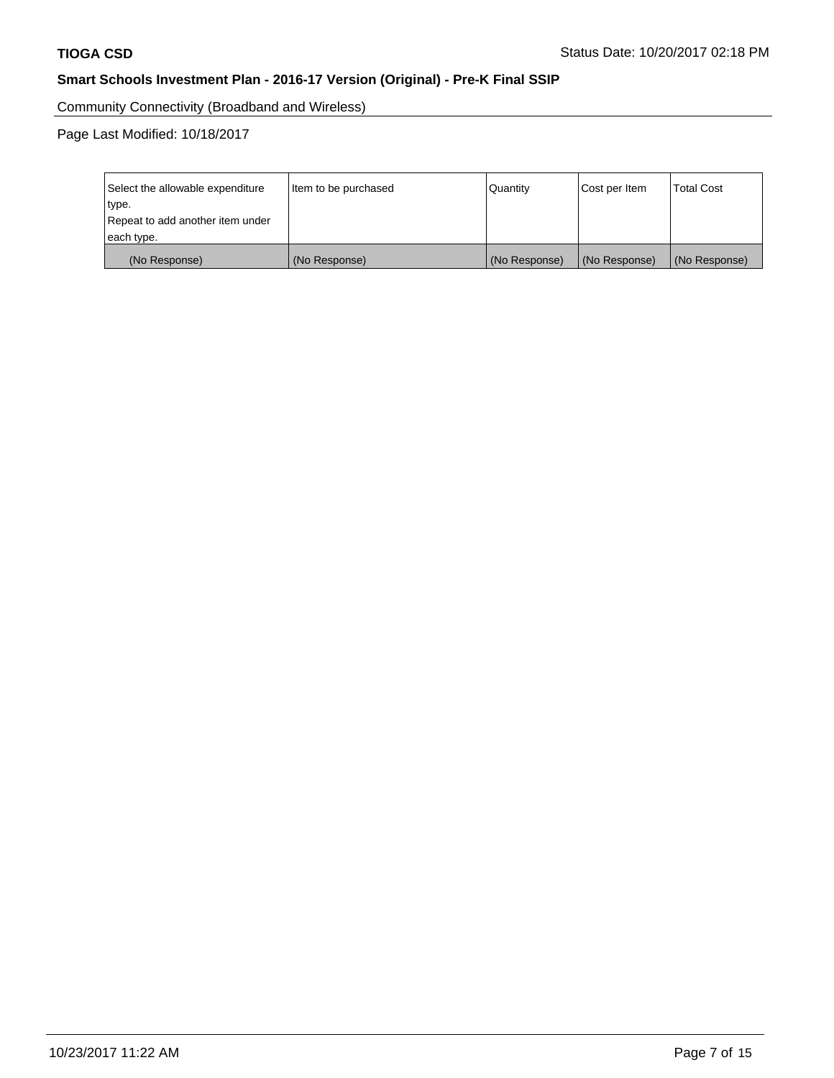Community Connectivity (Broadband and Wireless)

Page Last Modified: 10/18/2017

| Select the allowable expenditure<br>Item to be purchased<br>type.<br>Repeat to add another item under |               | Quantity      | Cost per Item | <b>Total Cost</b> |
|-------------------------------------------------------------------------------------------------------|---------------|---------------|---------------|-------------------|
| each type.                                                                                            |               |               |               |                   |
| (No Response)                                                                                         | (No Response) | (No Response) | (No Response) | (No Response)     |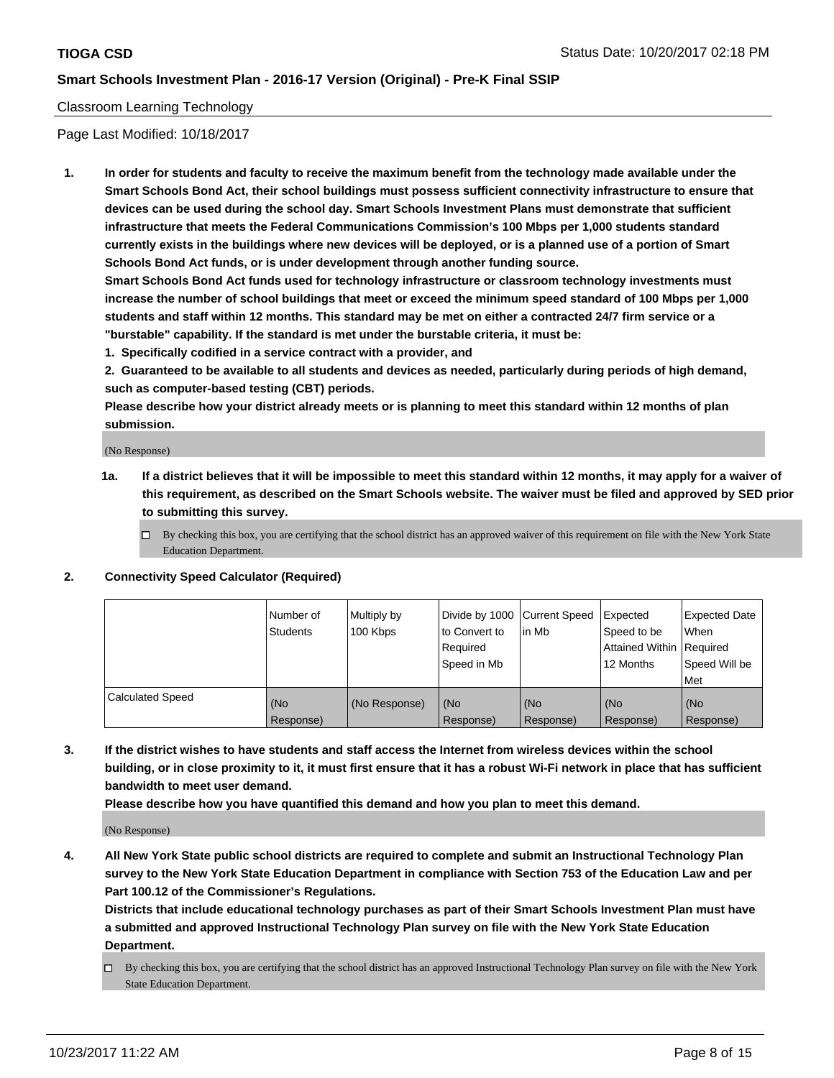### Classroom Learning Technology

Page Last Modified: 10/18/2017

**1. In order for students and faculty to receive the maximum benefit from the technology made available under the Smart Schools Bond Act, their school buildings must possess sufficient connectivity infrastructure to ensure that devices can be used during the school day. Smart Schools Investment Plans must demonstrate that sufficient infrastructure that meets the Federal Communications Commission's 100 Mbps per 1,000 students standard currently exists in the buildings where new devices will be deployed, or is a planned use of a portion of Smart Schools Bond Act funds, or is under development through another funding source.**

**Smart Schools Bond Act funds used for technology infrastructure or classroom technology investments must increase the number of school buildings that meet or exceed the minimum speed standard of 100 Mbps per 1,000 students and staff within 12 months. This standard may be met on either a contracted 24/7 firm service or a "burstable" capability. If the standard is met under the burstable criteria, it must be:**

**1. Specifically codified in a service contract with a provider, and**

**2. Guaranteed to be available to all students and devices as needed, particularly during periods of high demand, such as computer-based testing (CBT) periods.**

**Please describe how your district already meets or is planning to meet this standard within 12 months of plan submission.**

(No Response)

- **1a. If a district believes that it will be impossible to meet this standard within 12 months, it may apply for a waiver of this requirement, as described on the Smart Schools website. The waiver must be filed and approved by SED prior to submitting this survey.**
	- $\Box$  By checking this box, you are certifying that the school district has an approved waiver of this requirement on file with the New York State Education Department.
- **2. Connectivity Speed Calculator (Required)**

|                         | Number of<br>Students | Multiply by<br>100 Kbps | Divide by 1000 Current Speed<br>to Convert to<br>Required<br>Speed in Mb | l in Mb          | Expected<br>Speed to be<br>Attained Within   Required<br>12 Months | <b>Expected Date</b><br>When<br>Speed Will be<br><b>Met</b> |
|-------------------------|-----------------------|-------------------------|--------------------------------------------------------------------------|------------------|--------------------------------------------------------------------|-------------------------------------------------------------|
| <b>Calculated Speed</b> | (No<br>Response)      | (No Response)           | (No<br>Response)                                                         | (No<br>Response) | (No<br>Response)                                                   | (No<br>Response)                                            |

**3. If the district wishes to have students and staff access the Internet from wireless devices within the school building, or in close proximity to it, it must first ensure that it has a robust Wi-Fi network in place that has sufficient bandwidth to meet user demand.**

**Please describe how you have quantified this demand and how you plan to meet this demand.**

(No Response)

**4. All New York State public school districts are required to complete and submit an Instructional Technology Plan survey to the New York State Education Department in compliance with Section 753 of the Education Law and per Part 100.12 of the Commissioner's Regulations.**

**Districts that include educational technology purchases as part of their Smart Schools Investment Plan must have a submitted and approved Instructional Technology Plan survey on file with the New York State Education Department.**

By checking this box, you are certifying that the school district has an approved Instructional Technology Plan survey on file with the New York State Education Department.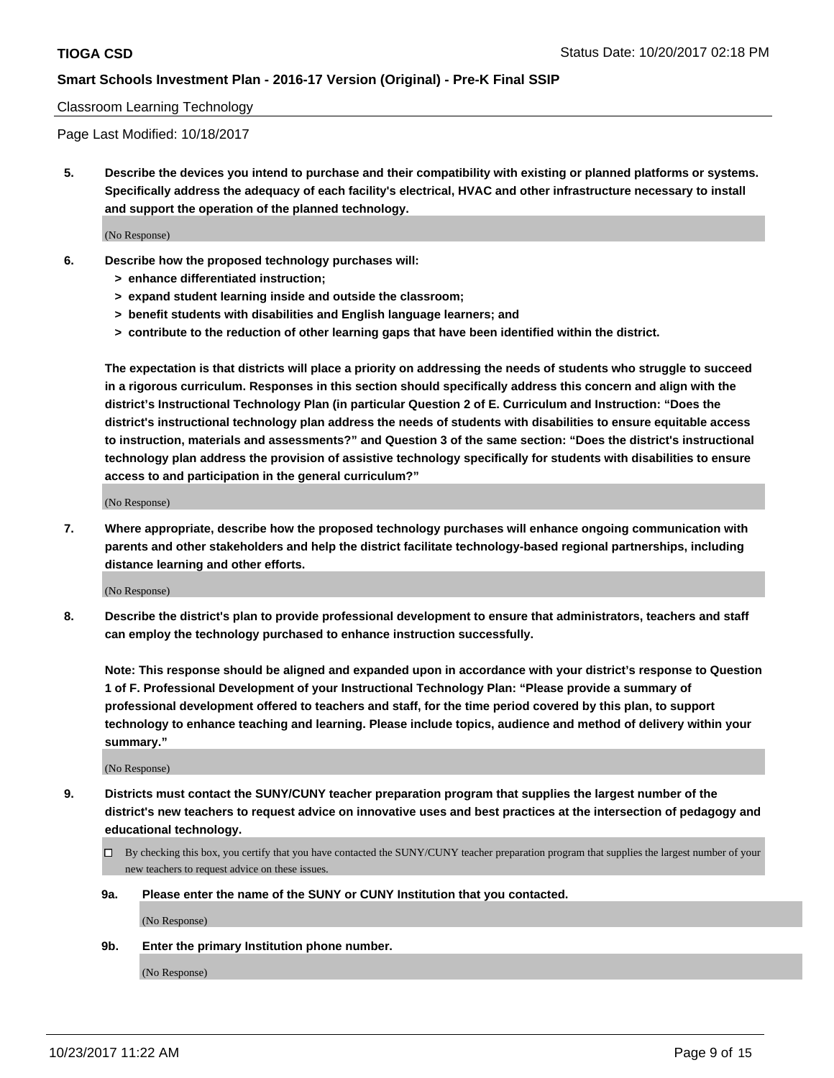#### Classroom Learning Technology

Page Last Modified: 10/18/2017

**5. Describe the devices you intend to purchase and their compatibility with existing or planned platforms or systems. Specifically address the adequacy of each facility's electrical, HVAC and other infrastructure necessary to install and support the operation of the planned technology.**

(No Response)

- **6. Describe how the proposed technology purchases will:**
	- **> enhance differentiated instruction;**
	- **> expand student learning inside and outside the classroom;**
	- **> benefit students with disabilities and English language learners; and**
	- **> contribute to the reduction of other learning gaps that have been identified within the district.**

**The expectation is that districts will place a priority on addressing the needs of students who struggle to succeed in a rigorous curriculum. Responses in this section should specifically address this concern and align with the district's Instructional Technology Plan (in particular Question 2 of E. Curriculum and Instruction: "Does the district's instructional technology plan address the needs of students with disabilities to ensure equitable access to instruction, materials and assessments?" and Question 3 of the same section: "Does the district's instructional technology plan address the provision of assistive technology specifically for students with disabilities to ensure access to and participation in the general curriculum?"**

(No Response)

**7. Where appropriate, describe how the proposed technology purchases will enhance ongoing communication with parents and other stakeholders and help the district facilitate technology-based regional partnerships, including distance learning and other efforts.**

(No Response)

**8. Describe the district's plan to provide professional development to ensure that administrators, teachers and staff can employ the technology purchased to enhance instruction successfully.**

**Note: This response should be aligned and expanded upon in accordance with your district's response to Question 1 of F. Professional Development of your Instructional Technology Plan: "Please provide a summary of professional development offered to teachers and staff, for the time period covered by this plan, to support technology to enhance teaching and learning. Please include topics, audience and method of delivery within your summary."**

(No Response)

- **9. Districts must contact the SUNY/CUNY teacher preparation program that supplies the largest number of the district's new teachers to request advice on innovative uses and best practices at the intersection of pedagogy and educational technology.**
	- By checking this box, you certify that you have contacted the SUNY/CUNY teacher preparation program that supplies the largest number of your new teachers to request advice on these issues.
	- **9a. Please enter the name of the SUNY or CUNY Institution that you contacted.**

(No Response)

**9b. Enter the primary Institution phone number.**

(No Response)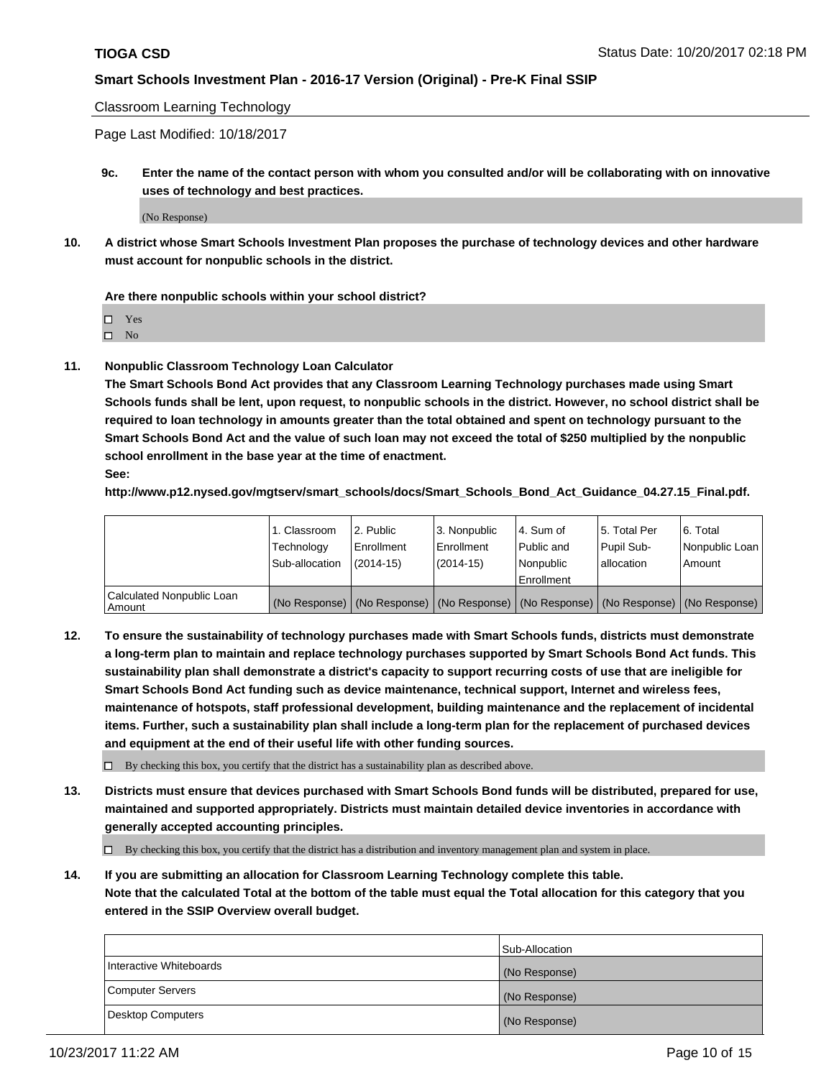Classroom Learning Technology

Page Last Modified: 10/18/2017

**9c. Enter the name of the contact person with whom you consulted and/or will be collaborating with on innovative uses of technology and best practices.**

(No Response)

**10. A district whose Smart Schools Investment Plan proposes the purchase of technology devices and other hardware must account for nonpublic schools in the district.**

**Are there nonpublic schools within your school district?**

Yes

 $\square$  No

**11. Nonpublic Classroom Technology Loan Calculator**

**The Smart Schools Bond Act provides that any Classroom Learning Technology purchases made using Smart Schools funds shall be lent, upon request, to nonpublic schools in the district. However, no school district shall be required to loan technology in amounts greater than the total obtained and spent on technology pursuant to the Smart Schools Bond Act and the value of such loan may not exceed the total of \$250 multiplied by the nonpublic school enrollment in the base year at the time of enactment.**

**See:**

**http://www.p12.nysed.gov/mgtserv/smart\_schools/docs/Smart\_Schools\_Bond\_Act\_Guidance\_04.27.15\_Final.pdf.**

|                                       | 1. Classroom   | 2. Public  | 3. Nonpublic | l 4. Sum of | l 5. Total Per | l 6. Total                                                                                    |
|---------------------------------------|----------------|------------|--------------|-------------|----------------|-----------------------------------------------------------------------------------------------|
|                                       | Technology     | Enrollment | Enrollment   | Public and  | Pupil Sub-     | Nonpublic Loan                                                                                |
|                                       | Sub-allocation | (2014-15)  | (2014-15)    | l Nonpublic | allocation     | Amount                                                                                        |
|                                       |                |            |              | Enrollment  |                |                                                                                               |
| Calculated Nonpublic Loan<br>  Amount |                |            |              |             |                | (No Response)   (No Response)   (No Response)   (No Response)   (No Response)   (No Response) |

**12. To ensure the sustainability of technology purchases made with Smart Schools funds, districts must demonstrate a long-term plan to maintain and replace technology purchases supported by Smart Schools Bond Act funds. This sustainability plan shall demonstrate a district's capacity to support recurring costs of use that are ineligible for Smart Schools Bond Act funding such as device maintenance, technical support, Internet and wireless fees, maintenance of hotspots, staff professional development, building maintenance and the replacement of incidental items. Further, such a sustainability plan shall include a long-term plan for the replacement of purchased devices and equipment at the end of their useful life with other funding sources.**

 $\Box$  By checking this box, you certify that the district has a sustainability plan as described above.

**13. Districts must ensure that devices purchased with Smart Schools Bond funds will be distributed, prepared for use, maintained and supported appropriately. Districts must maintain detailed device inventories in accordance with generally accepted accounting principles.**

By checking this box, you certify that the district has a distribution and inventory management plan and system in place.

**14. If you are submitting an allocation for Classroom Learning Technology complete this table. Note that the calculated Total at the bottom of the table must equal the Total allocation for this category that you entered in the SSIP Overview overall budget.**

|                         | Sub-Allocation |
|-------------------------|----------------|
| Interactive Whiteboards | (No Response)  |
| Computer Servers        | (No Response)  |
| Desktop Computers       | (No Response)  |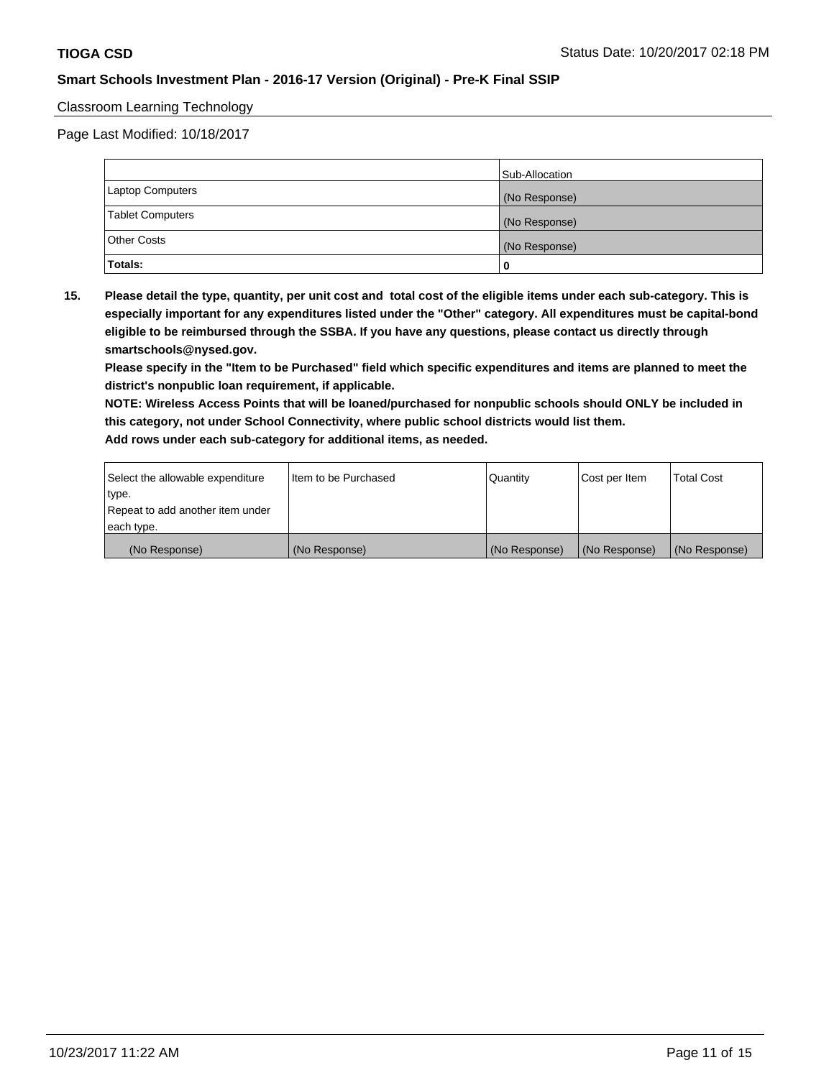### Classroom Learning Technology

Page Last Modified: 10/18/2017

|                         | Sub-Allocation |
|-------------------------|----------------|
| Laptop Computers        | (No Response)  |
| <b>Tablet Computers</b> | (No Response)  |
| Other Costs             | (No Response)  |
| Totals:                 |                |

**15. Please detail the type, quantity, per unit cost and total cost of the eligible items under each sub-category. This is especially important for any expenditures listed under the "Other" category. All expenditures must be capital-bond eligible to be reimbursed through the SSBA. If you have any questions, please contact us directly through smartschools@nysed.gov.**

**Please specify in the "Item to be Purchased" field which specific expenditures and items are planned to meet the district's nonpublic loan requirement, if applicable.**

**NOTE: Wireless Access Points that will be loaned/purchased for nonpublic schools should ONLY be included in this category, not under School Connectivity, where public school districts would list them. Add rows under each sub-category for additional items, as needed.**

| Select the allowable expenditure | I Item to be Purchased | Quantity      | Cost per Item   | <b>Total Cost</b> |
|----------------------------------|------------------------|---------------|-----------------|-------------------|
| type.                            |                        |               |                 |                   |
| Repeat to add another item under |                        |               |                 |                   |
| each type.                       |                        |               |                 |                   |
| (No Response)                    | (No Response)          | (No Response) | l (No Response) | (No Response)     |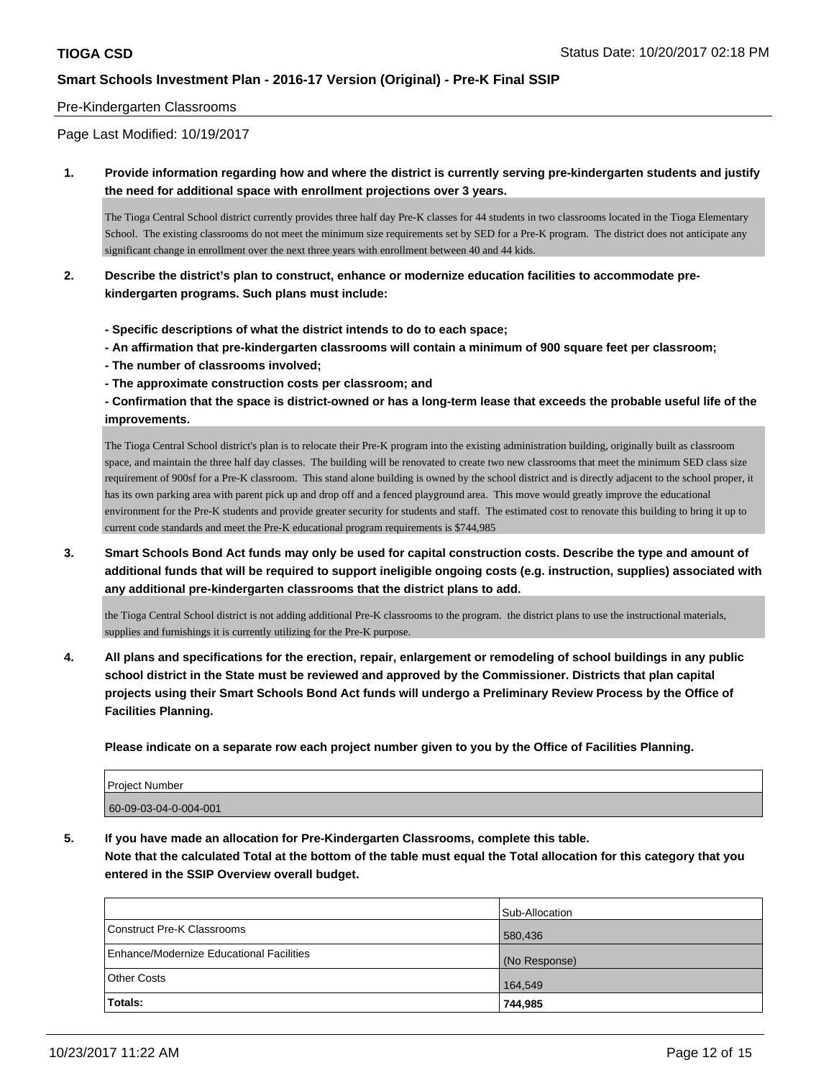#### Pre-Kindergarten Classrooms

Page Last Modified: 10/19/2017

**1. Provide information regarding how and where the district is currently serving pre-kindergarten students and justify the need for additional space with enrollment projections over 3 years.**

The Tioga Central School district currently provides three half day Pre-K classes for 44 students in two classrooms located in the Tioga Elementary School. The existing classrooms do not meet the minimum size requirements set by SED for a Pre-K program. The district does not anticipate any significant change in enrollment over the next three years with enrollment between 40 and 44 kids.

- **2. Describe the district's plan to construct, enhance or modernize education facilities to accommodate prekindergarten programs. Such plans must include:**
	- **Specific descriptions of what the district intends to do to each space;**
	- **An affirmation that pre-kindergarten classrooms will contain a minimum of 900 square feet per classroom;**
	- **The number of classrooms involved;**
	- **The approximate construction costs per classroom; and**

**- Confirmation that the space is district-owned or has a long-term lease that exceeds the probable useful life of the improvements.**

The Tioga Central School district's plan is to relocate their Pre-K program into the existing administration building, originally built as classroom space, and maintain the three half day classes. The building will be renovated to create two new classrooms that meet the minimum SED class size requirement of 900sf for a Pre-K classroom. This stand alone building is owned by the school district and is directly adjacent to the school proper, it has its own parking area with parent pick up and drop off and a fenced playground area. This move would greatly improve the educational environment for the Pre-K students and provide greater security for students and staff. The estimated cost to renovate this building to bring it up to current code standards and meet the Pre-K educational program requirements is \$744,985

**3. Smart Schools Bond Act funds may only be used for capital construction costs. Describe the type and amount of additional funds that will be required to support ineligible ongoing costs (e.g. instruction, supplies) associated with any additional pre-kindergarten classrooms that the district plans to add.**

the Tioga Central School district is not adding additional Pre-K classrooms to the program. the district plans to use the instructional materials, supplies and furnishings it is currently utilizing for the Pre-K purpose.

**4. All plans and specifications for the erection, repair, enlargement or remodeling of school buildings in any public school district in the State must be reviewed and approved by the Commissioner. Districts that plan capital projects using their Smart Schools Bond Act funds will undergo a Preliminary Review Process by the Office of Facilities Planning.**

**Please indicate on a separate row each project number given to you by the Office of Facilities Planning.**

| <b>Project Number</b> |  |
|-----------------------|--|
| 60-09-03-04-0-004-001 |  |
|                       |  |

**5. If you have made an allocation for Pre-Kindergarten Classrooms, complete this table. Note that the calculated Total at the bottom of the table must equal the Total allocation for this category that you entered in the SSIP Overview overall budget.**

|                                          | Sub-Allocation |
|------------------------------------------|----------------|
| Construct Pre-K Classrooms               | 580,436        |
| Enhance/Modernize Educational Facilities | (No Response)  |
| <b>Other Costs</b>                       | 164,549        |
| Totals:                                  | 744,985        |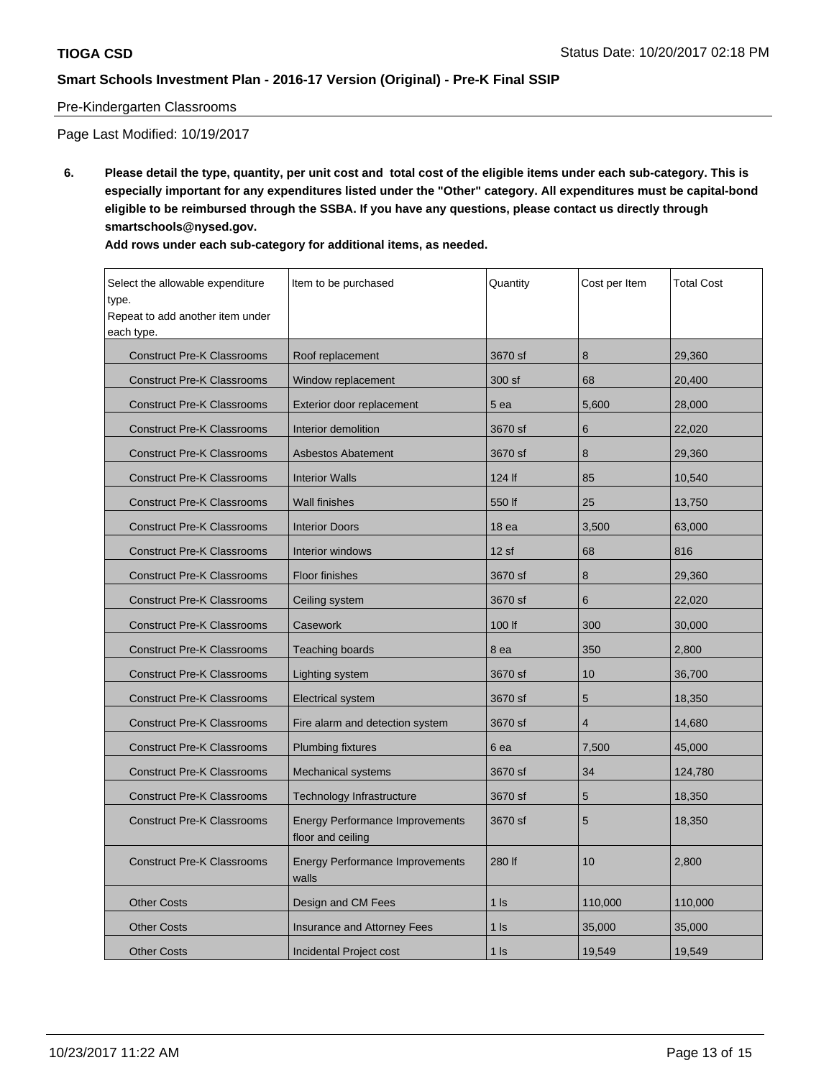### Pre-Kindergarten Classrooms

Page Last Modified: 10/19/2017

**6. Please detail the type, quantity, per unit cost and total cost of the eligible items under each sub-category. This is especially important for any expenditures listed under the "Other" category. All expenditures must be capital-bond eligible to be reimbursed through the SSBA. If you have any questions, please contact us directly through smartschools@nysed.gov.**

| Add rows under each sub-category for additional items, as needed. |  |
|-------------------------------------------------------------------|--|
|-------------------------------------------------------------------|--|

| Select the allowable expenditure<br>type.<br>Repeat to add another item under<br>each type. | Item to be purchased                                        | Quantity          | Cost per Item  | Total Cost |
|---------------------------------------------------------------------------------------------|-------------------------------------------------------------|-------------------|----------------|------------|
| <b>Construct Pre-K Classrooms</b>                                                           | Roof replacement                                            | 3670 sf           | 8              | 29,360     |
| <b>Construct Pre-K Classrooms</b>                                                           | Window replacement                                          | 300 sf            | 68             | 20,400     |
| <b>Construct Pre-K Classrooms</b>                                                           | Exterior door replacement                                   | 5 ea              | 5,600          | 28,000     |
| <b>Construct Pre-K Classrooms</b>                                                           | Interior demolition                                         | 3670 sf           | 6              | 22,020     |
| <b>Construct Pre-K Classrooms</b>                                                           | <b>Asbestos Abatement</b>                                   | 3670 sf           | 8              | 29,360     |
| <b>Construct Pre-K Classrooms</b>                                                           | <b>Interior Walls</b>                                       | 124 lf            | 85             | 10.540     |
| <b>Construct Pre-K Classrooms</b>                                                           | Wall finishes                                               | 550 lf            | 25             | 13,750     |
| <b>Construct Pre-K Classrooms</b>                                                           | <b>Interior Doors</b>                                       | 18 ea             | 3,500          | 63,000     |
| <b>Construct Pre-K Classrooms</b>                                                           | Interior windows                                            | 12sf              | 68             | 816        |
| <b>Construct Pre-K Classrooms</b>                                                           | <b>Floor finishes</b>                                       |                   | 8              | 29,360     |
| <b>Construct Pre-K Classrooms</b>                                                           | Ceiling system                                              | 3670 sf           | 6              | 22,020     |
| <b>Construct Pre-K Classrooms</b>                                                           | Casework                                                    |                   | 300            | 30,000     |
| <b>Construct Pre-K Classrooms</b>                                                           | Teaching boards                                             |                   | 350            | 2,800      |
| <b>Construct Pre-K Classrooms</b>                                                           | Lighting system                                             |                   | 10             | 36.700     |
| <b>Construct Pre-K Classrooms</b>                                                           | <b>Electrical system</b>                                    | 3670 sf           | 5              | 18,350     |
| <b>Construct Pre-K Classrooms</b>                                                           | Fire alarm and detection system                             | 3670 sf           | $\overline{4}$ | 14,680     |
| <b>Construct Pre-K Classrooms</b>                                                           | <b>Plumbing fixtures</b>                                    | 6 ea              | 7,500          | 45,000     |
| <b>Construct Pre-K Classrooms</b>                                                           | Mechanical systems                                          | 3670 sf           | 34             | 124,780    |
| <b>Construct Pre-K Classrooms</b>                                                           | Technology Infrastructure                                   |                   | 5              | 18,350     |
| <b>Construct Pre-K Classrooms</b>                                                           | <b>Energy Performance Improvements</b><br>floor and ceiling |                   | 5              | 18,350     |
| <b>Construct Pre-K Classrooms</b>                                                           | <b>Energy Performance Improvements</b><br>walls             |                   | 10             | 2,800      |
| <b>Other Costs</b>                                                                          | Design and CM Fees                                          | $1$ $\textsf{ls}$ | 110,000        | 110,000    |
| <b>Other Costs</b>                                                                          | <b>Insurance and Attorney Fees</b>                          | $1$ Is            | 35,000         | 35,000     |
| <b>Other Costs</b>                                                                          | Incidental Project cost                                     | $1$ $\textsf{ls}$ | 19,549         | 19,549     |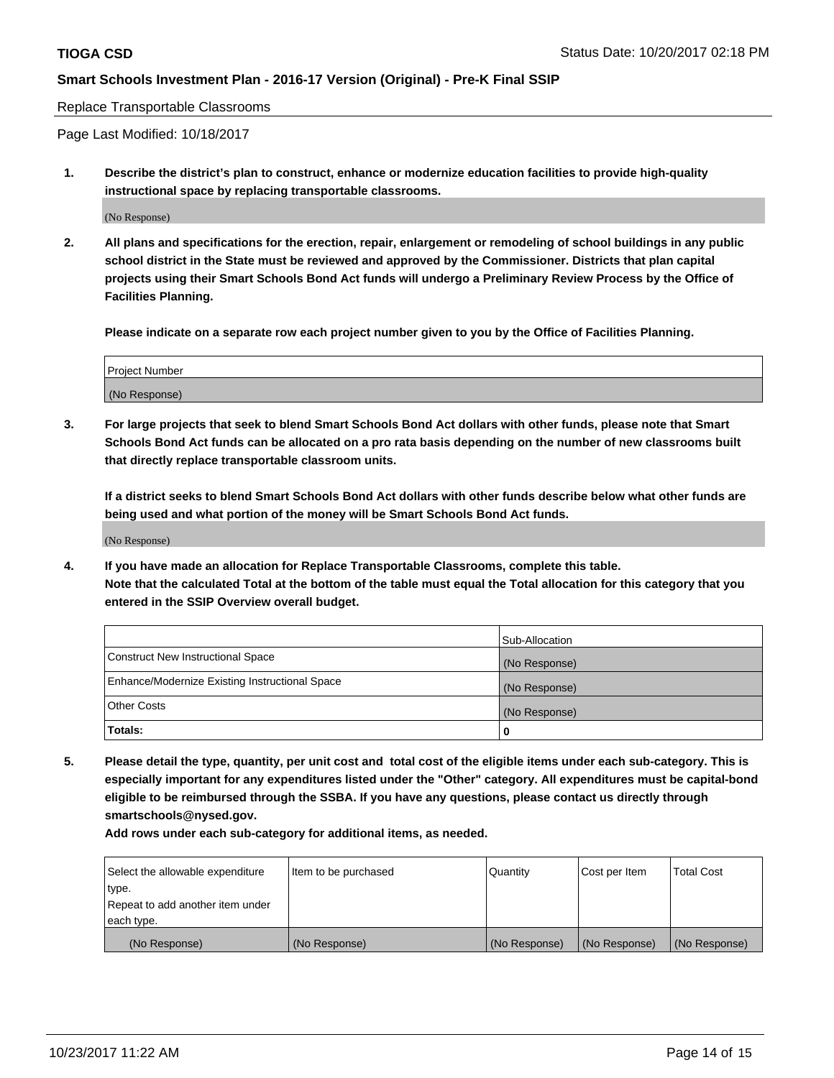#### Replace Transportable Classrooms

Page Last Modified: 10/18/2017

**1. Describe the district's plan to construct, enhance or modernize education facilities to provide high-quality instructional space by replacing transportable classrooms.**

(No Response)

**2. All plans and specifications for the erection, repair, enlargement or remodeling of school buildings in any public school district in the State must be reviewed and approved by the Commissioner. Districts that plan capital projects using their Smart Schools Bond Act funds will undergo a Preliminary Review Process by the Office of Facilities Planning.**

**Please indicate on a separate row each project number given to you by the Office of Facilities Planning.**

| <b>Project Number</b> |  |
|-----------------------|--|
| (No Response)         |  |

**3. For large projects that seek to blend Smart Schools Bond Act dollars with other funds, please note that Smart Schools Bond Act funds can be allocated on a pro rata basis depending on the number of new classrooms built that directly replace transportable classroom units.**

**If a district seeks to blend Smart Schools Bond Act dollars with other funds describe below what other funds are being used and what portion of the money will be Smart Schools Bond Act funds.**

(No Response)

**4. If you have made an allocation for Replace Transportable Classrooms, complete this table. Note that the calculated Total at the bottom of the table must equal the Total allocation for this category that you entered in the SSIP Overview overall budget.**

|                                                | Sub-Allocation |
|------------------------------------------------|----------------|
| Construct New Instructional Space              | (No Response)  |
| Enhance/Modernize Existing Instructional Space | (No Response)  |
| <b>Other Costs</b>                             | (No Response)  |
| Totals:                                        | 0              |

**5. Please detail the type, quantity, per unit cost and total cost of the eligible items under each sub-category. This is especially important for any expenditures listed under the "Other" category. All expenditures must be capital-bond eligible to be reimbursed through the SSBA. If you have any questions, please contact us directly through smartschools@nysed.gov.**

**Add rows under each sub-category for additional items, as needed.**

| Select the allowable expenditure | Item to be purchased | Quantity      | Cost per Item | <b>Total Cost</b> |
|----------------------------------|----------------------|---------------|---------------|-------------------|
| type.                            |                      |               |               |                   |
| Repeat to add another item under |                      |               |               |                   |
| each type.                       |                      |               |               |                   |
| (No Response)                    | (No Response)        | (No Response) | (No Response) | (No Response)     |